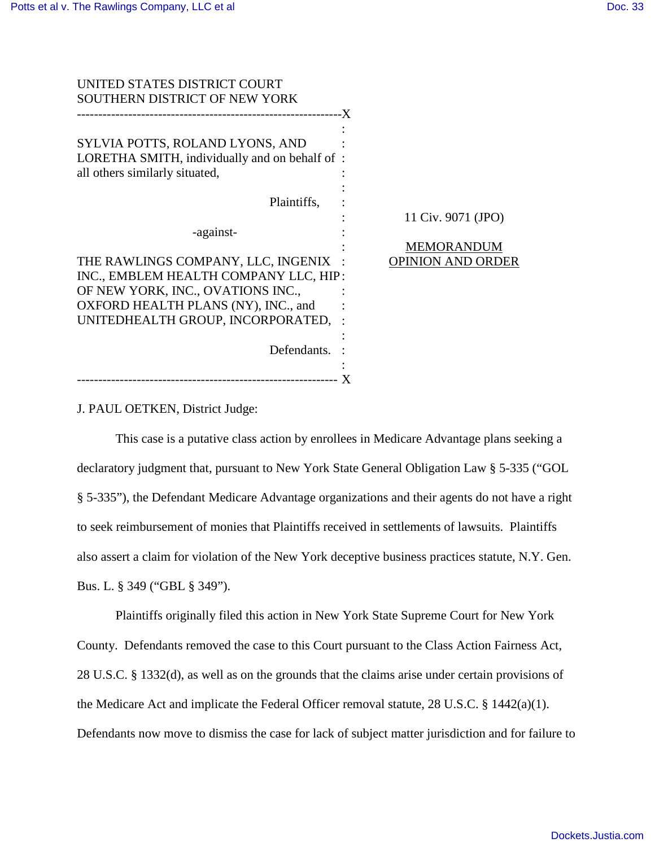| UNITED STATES DISTRICT COURT                  |                          |
|-----------------------------------------------|--------------------------|
| SOUTHERN DISTRICT OF NEW YORK                 |                          |
|                                               |                          |
|                                               |                          |
| SYLVIA POTTS, ROLAND LYONS, AND               |                          |
|                                               |                          |
| LORETHA SMITH, individually and on behalf of: |                          |
| all others similarly situated,                |                          |
|                                               |                          |
| Plaintiffs,                                   |                          |
|                                               | 11 Civ. 9071 (JPO)       |
| -against-                                     |                          |
|                                               | <b>MEMORANDUM</b>        |
| THE RAWLINGS COMPANY, LLC, INGENIX :          | <b>OPINION AND ORDER</b> |
| INC., EMBLEM HEALTH COMPANY LLC, HIP:         |                          |
|                                               |                          |
| OF NEW YORK, INC., OVATIONS INC.,             |                          |
| OXFORD HEALTH PLANS (NY), INC., and           |                          |
| UNITEDHEALTH GROUP, INCORPORATED, :           |                          |
|                                               |                          |
| Defendants.                                   |                          |
|                                               |                          |
|                                               |                          |
|                                               |                          |

## J. PAUL OETKEN, District Judge:

This case is a putative class action by enrollees in Medicare Advantage plans seeking a declaratory judgment that, pursuant to New York State General Obligation Law § 5-335 ("GOL § 5-335"), the Defendant Medicare Advantage organizations and their agents do not have a right to seek reimbursement of monies that Plaintiffs received in settlements of lawsuits. Plaintiffs also assert a claim for violation of the New York deceptive business practices statute, N.Y. Gen. Bus. L. § 349 ("GBL § 349").

Plaintiffs originally filed this action in New York State Supreme Court for New York County. Defendants removed the case to this Court pursuant to the Class Action Fairness Act, 28 U.S.C. § 1332(d), as well as on the grounds that the claims arise under certain provisions of the Medicare Act and implicate the Federal Officer removal statute, 28 U.S.C. § 1442(a)(1). Defendants now move to dismiss the case for lack of subject matter jurisdiction and for failure to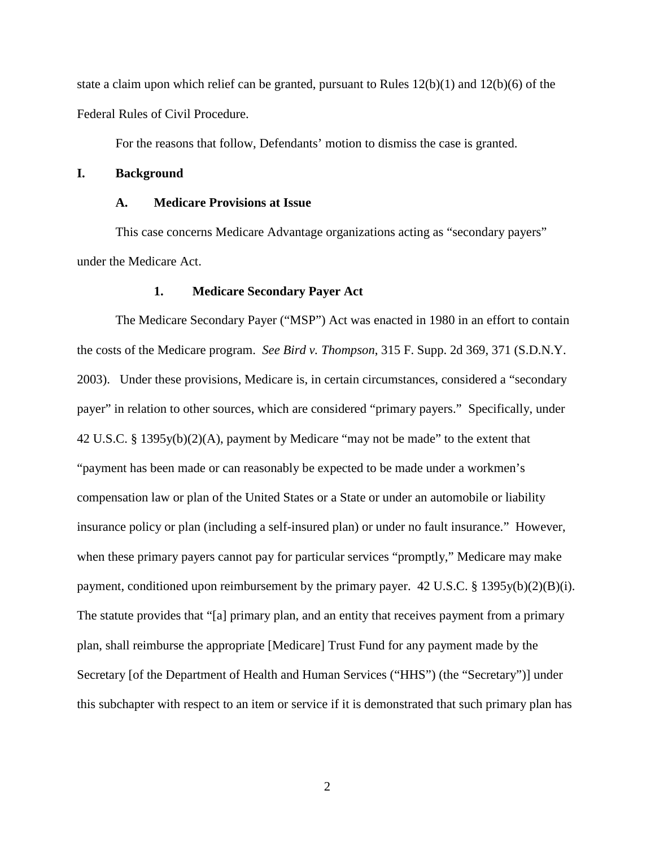state a claim upon which relief can be granted, pursuant to Rules  $12(b)(1)$  and  $12(b)(6)$  of the Federal Rules of Civil Procedure.

For the reasons that follow, Defendants' motion to dismiss the case is granted.

### **I. Background**

# **A. Medicare Provisions at Issue**

This case concerns Medicare Advantage organizations acting as "secondary payers" under the Medicare Act.

### **1. Medicare Secondary Payer Act**

The Medicare Secondary Payer ("MSP") Act was enacted in 1980 in an effort to contain the costs of the Medicare program. *See Bird v. Thompson*, 315 F. Supp. 2d 369, 371 (S.D.N.Y. 2003). Under these provisions, Medicare is, in certain circumstances, considered a "secondary payer" in relation to other sources, which are considered "primary payers." Specifically, under 42 U.S.C. § 1395y(b)(2)(A), payment by Medicare "may not be made" to the extent that "payment has been made or can reasonably be expected to be made under a workmen's compensation law or plan of the United States or a State or under an automobile or liability insurance policy or plan (including a self-insured plan) or under no fault insurance." However, when these primary payers cannot pay for particular services "promptly," Medicare may make payment, conditioned upon reimbursement by the primary payer. 42 U.S.C. § 1395y(b)(2)(B)(i). The statute provides that "[a] primary plan, and an entity that receives payment from a primary plan, shall reimburse the appropriate [Medicare] Trust Fund for any payment made by the Secretary [of the Department of Health and Human Services ("HHS") (the "Secretary")] under this subchapter with respect to an item or service if it is demonstrated that such primary plan has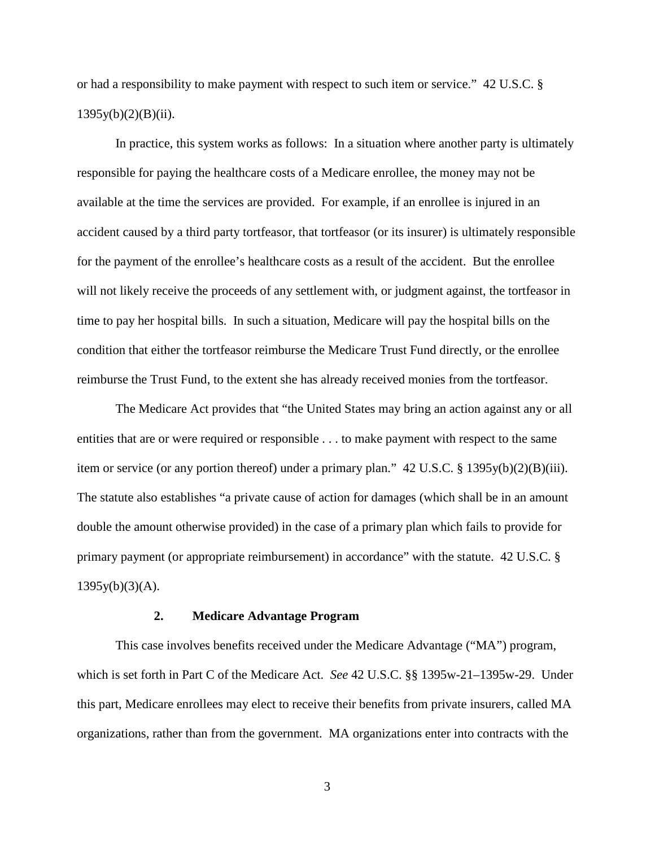or had a responsibility to make payment with respect to such item or service." 42 U.S.C. §  $1395y(b)(2)(B)(ii)$ .

In practice, this system works as follows: In a situation where another party is ultimately responsible for paying the healthcare costs of a Medicare enrollee, the money may not be available at the time the services are provided. For example, if an enrollee is injured in an accident caused by a third party tortfeasor, that tortfeasor (or its insurer) is ultimately responsible for the payment of the enrollee's healthcare costs as a result of the accident. But the enrollee will not likely receive the proceeds of any settlement with, or judgment against, the tortfeasor in time to pay her hospital bills. In such a situation, Medicare will pay the hospital bills on the condition that either the tortfeasor reimburse the Medicare Trust Fund directly, or the enrollee reimburse the Trust Fund, to the extent she has already received monies from the tortfeasor.

The Medicare Act provides that "the United States may bring an action against any or all entities that are or were required or responsible . . . to make payment with respect to the same item or service (or any portion thereof) under a primary plan." 42 U.S.C. § 1395y(b)(2)(B)(iii). The statute also establishes "a private cause of action for damages (which shall be in an amount double the amount otherwise provided) in the case of a primary plan which fails to provide for primary payment (or appropriate reimbursement) in accordance" with the statute. 42 U.S.C. § 1395y(b)(3)(A).

### **2. Medicare Advantage Program**

This case involves benefits received under the Medicare Advantage ("MA") program, which is set forth in Part C of the Medicare Act. *See* 42 U.S.C. §§ 1395w-21–1395w-29. Under this part, Medicare enrollees may elect to receive their benefits from private insurers, called MA organizations, rather than from the government. MA organizations enter into contracts with the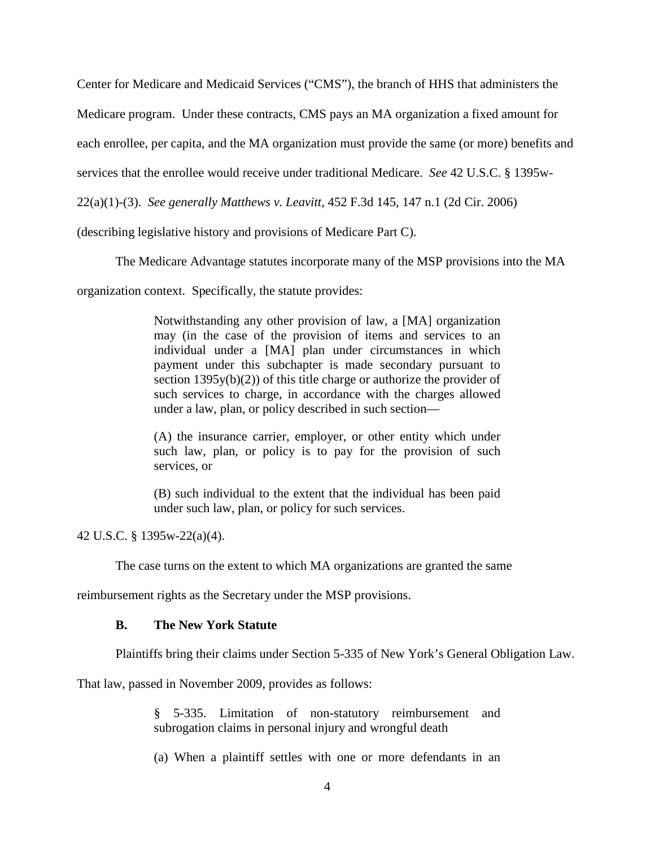Center for Medicare and Medicaid Services ("CMS"), the branch of HHS that administers the

Medicare program. Under these contracts, CMS pays an MA organization a fixed amount for

each enrollee, per capita, and the MA organization must provide the same (or more) benefits and

services that the enrollee would receive under traditional Medicare. *See* 42 U.S.C. § 1395w-

22(a)(1)-(3). *See generally Matthews v. Leavitt*, 452 F.3d 145, 147 n.1 (2d Cir. 2006)

(describing legislative history and provisions of Medicare Part C).

The Medicare Advantage statutes incorporate many of the MSP provisions into the MA

organization context. Specifically, the statute provides:

Notwithstanding any other provision of law, a [MA] organization may (in the case of the provision of items and services to an individual under a [MA] plan under circumstances in which payment under this subchapter is made secondary pursuant to section  $1395y(b)(2)$  of this title charge or authorize the provider of such services to charge, in accordance with the charges allowed under a law, plan, or policy described in such section—

(A) the insurance carrier, employer, or other entity which under such law, plan, or policy is to pay for the provision of such services, or

(B) such individual to the extent that the individual has been paid under such law, plan, or policy for such services.

# 42 U.S.C. § 1395w-22(a)(4).

The case turns on the extent to which MA organizations are granted the same

reimbursement rights as the Secretary under the MSP provisions.

## **B. The New York Statute**

Plaintiffs bring their claims under Section 5-335 of New York's General Obligation Law.

That law, passed in November 2009, provides as follows:

§ 5-335. Limitation of non-statutory reimbursement and subrogation claims in personal injury and wrongful death

(a) When a plaintiff settles with one or more defendants in an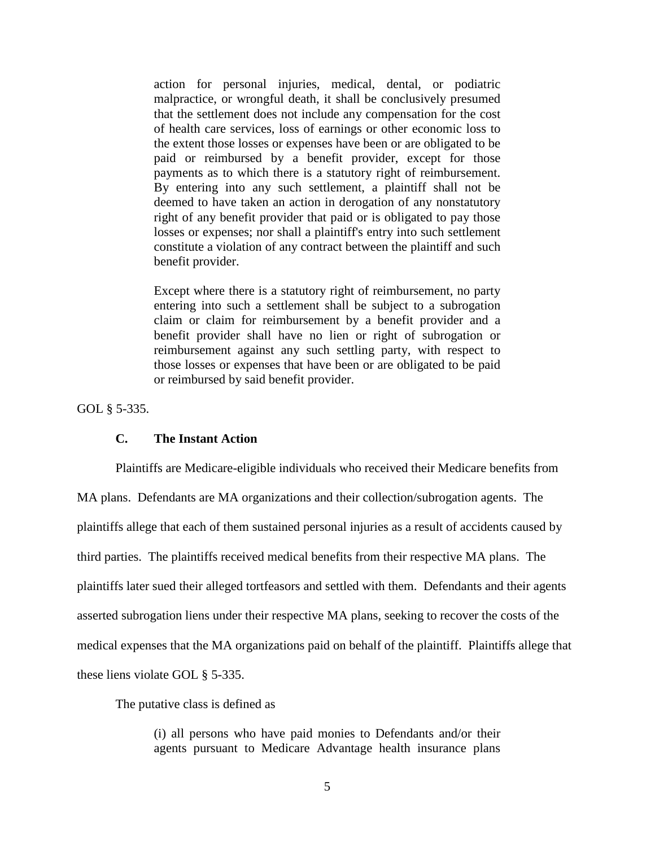action for personal injuries, medical, dental, or podiatric malpractice, or wrongful death, it shall be conclusively presumed that the settlement does not include any compensation for the cost of health care services, loss of earnings or other economic loss to the extent those losses or expenses have been or are obligated to be paid or reimbursed by a benefit provider, except for those payments as to which there is a statutory right of reimbursement. By entering into any such settlement, a plaintiff shall not be deemed to have taken an action in derogation of any nonstatutory right of any benefit provider that paid or is obligated to pay those losses or expenses; nor shall a plaintiff's entry into such settlement constitute a violation of any contract between the plaintiff and such benefit provider.

Except where there is a statutory right of reimbursement, no party entering into such a settlement shall be subject to a subrogation claim or claim for reimbursement by a benefit provider and a benefit provider shall have no lien or right of subrogation or reimbursement against any such settling party, with respect to those losses or expenses that have been or are obligated to be paid or reimbursed by said benefit provider.

GOL § 5-335.

## **C. The Instant Action**

Plaintiffs are Medicare-eligible individuals who received their Medicare benefits from MA plans. Defendants are MA organizations and their collection/subrogation agents. The plaintiffs allege that each of them sustained personal injuries as a result of accidents caused by third parties. The plaintiffs received medical benefits from their respective MA plans. The plaintiffs later sued their alleged tortfeasors and settled with them. Defendants and their agents asserted subrogation liens under their respective MA plans, seeking to recover the costs of the medical expenses that the MA organizations paid on behalf of the plaintiff. Plaintiffs allege that these liens violate GOL § 5-335.

The putative class is defined as

(i) all persons who have paid monies to Defendants and/or their agents pursuant to Medicare Advantage health insurance plans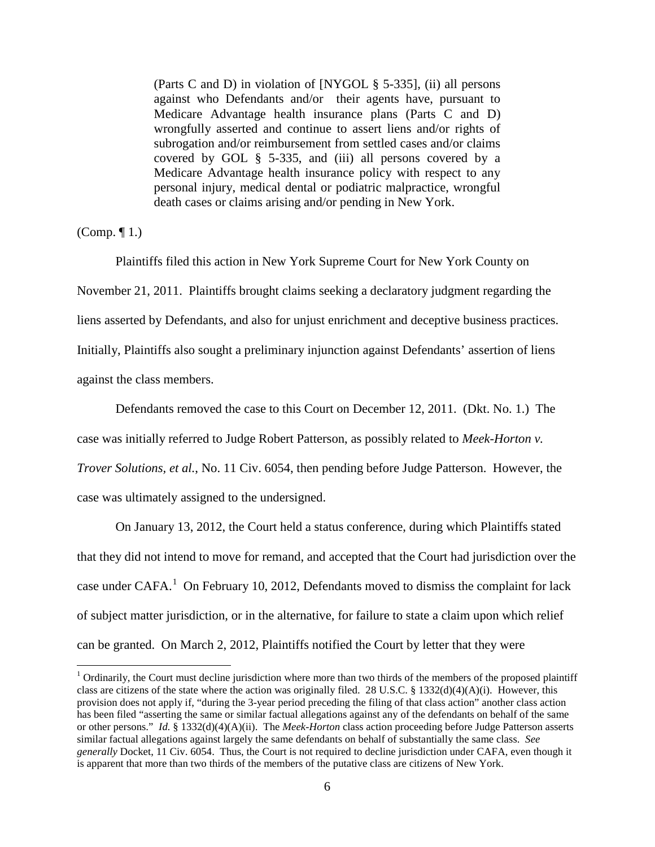(Parts C and D) in violation of [NYGOL § 5-335], (ii) all persons against who Defendants and/or their agents have, pursuant to Medicare Advantage health insurance plans (Parts C and D) wrongfully asserted and continue to assert liens and/or rights of subrogation and/or reimbursement from settled cases and/or claims covered by GOL § 5-335, and (iii) all persons covered by a Medicare Advantage health insurance policy with respect to any personal injury, medical dental or podiatric malpractice, wrongful death cases or claims arising and/or pending in New York.

(Comp. ¶ 1.)

 $\overline{a}$ 

Plaintiffs filed this action in New York Supreme Court for New York County on November 21, 2011. Plaintiffs brought claims seeking a declaratory judgment regarding the liens asserted by Defendants, and also for unjust enrichment and deceptive business practices. Initially, Plaintiffs also sought a preliminary injunction against Defendants' assertion of liens against the class members.

Defendants removed the case to this Court on December 12, 2011. (Dkt. No. 1.) The case was initially referred to Judge Robert Patterson, as possibly related to *Meek-Horton v. Trover Solutions, et al.*, No. 11 Civ. 6054, then pending before Judge Patterson. However, the case was ultimately assigned to the undersigned.

On January 13, 2012, the Court held a status conference, during which Plaintiffs stated that they did not intend to move for remand, and accepted that the Court had jurisdiction over the case under  $CAFA$ <sup>[1](#page-5-0)</sup> On February 10, 2012, Defendants moved to dismiss the complaint for lack of subject matter jurisdiction, or in the alternative, for failure to state a claim upon which relief can be granted. On March 2, 2012, Plaintiffs notified the Court by letter that they were

<span id="page-5-0"></span> $1$  Ordinarily, the Court must decline jurisdiction where more than two thirds of the members of the proposed plaintiff class are citizens of the state where the action was originally filed. 28 U.S.C. § 1332(d)(4)(A)(i). However, this provision does not apply if, "during the 3-year period preceding the filing of that class action" another class action has been filed "asserting the same or similar factual allegations against any of the defendants on behalf of the same or other persons." *Id.* § 1332(d)(4)(A)(ii). The *Meek-Horton* class action proceeding before Judge Patterson asserts similar factual allegations against largely the same defendants on behalf of substantially the same class. *See generally* Docket, 11 Civ. 6054. Thus, the Court is not required to decline jurisdiction under CAFA, even though it is apparent that more than two thirds of the members of the putative class are citizens of New York.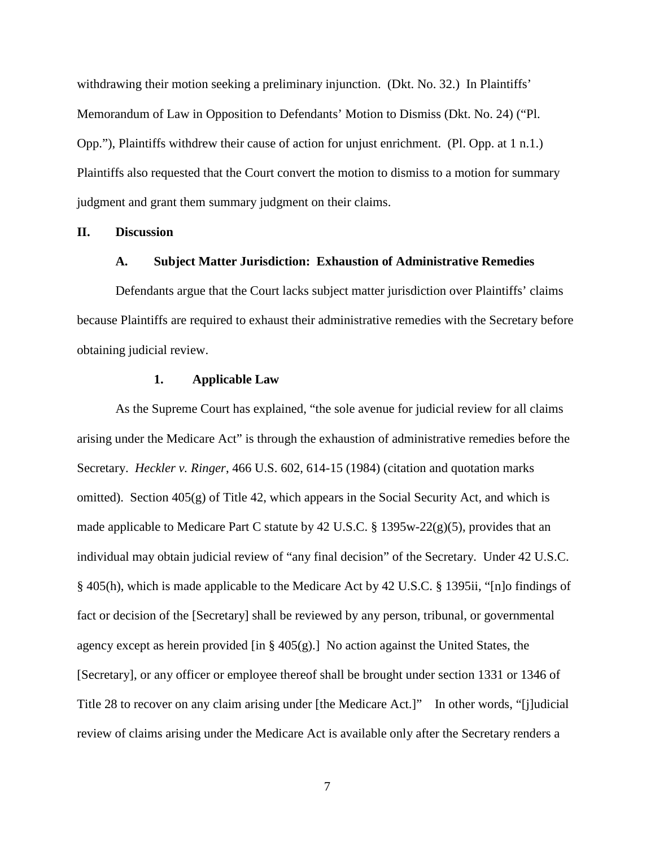withdrawing their motion seeking a preliminary injunction. (Dkt. No. 32.) In Plaintiffs' Memorandum of Law in Opposition to Defendants' Motion to Dismiss (Dkt. No. 24) ("Pl. Opp."), Plaintiffs withdrew their cause of action for unjust enrichment. (Pl. Opp. at 1 n.1.) Plaintiffs also requested that the Court convert the motion to dismiss to a motion for summary judgment and grant them summary judgment on their claims.

#### **II. Discussion**

#### **A. Subject Matter Jurisdiction: Exhaustion of Administrative Remedies**

Defendants argue that the Court lacks subject matter jurisdiction over Plaintiffs' claims because Plaintiffs are required to exhaust their administrative remedies with the Secretary before obtaining judicial review.

#### **1. Applicable Law**

As the Supreme Court has explained, "the sole avenue for judicial review for all claims arising under the Medicare Act" is through the exhaustion of administrative remedies before the Secretary. *Heckler v. Ringer*, 466 U.S. 602, 614-15 (1984) (citation and quotation marks omitted). Section  $405(g)$  of Title 42, which appears in the Social Security Act, and which is made applicable to Medicare Part C statute by 42 U.S.C. § 1395w-22(g)(5), provides that an individual may obtain judicial review of "any final decision" of the Secretary. Under 42 U.S.C. § 405(h), which is made applicable to the Medicare Act by 42 U.S.C. § 1395ii, "[n]o findings of fact or decision of the [Secretary] shall be reviewed by any person, tribunal, or governmental agency except as herein provided [in § 405(g).] No action against the United States, the [Secretary], or any officer or employee thereof shall be brought under section 1331 or 1346 of Title 28 to recover on any claim arising under [the Medicare Act.]" In other words, "[j]udicial review of claims arising under the Medicare Act is available only after the Secretary renders a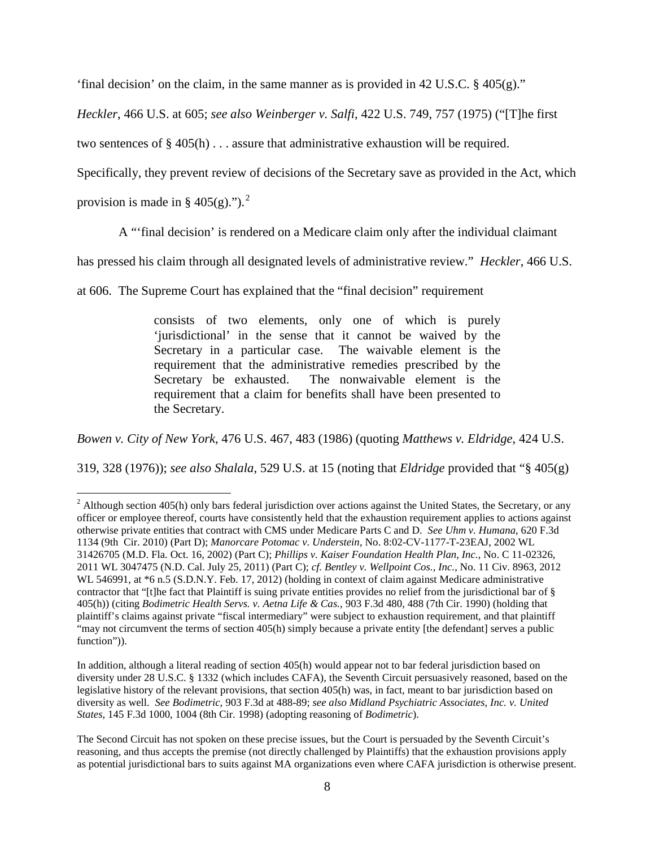'final decision' on the claim, in the same manner as is provided in 42 U.S.C.  $\S$  405(g)."

*Heckler*, 466 U.S. at 605; *see also Weinberger v. Salfi*, 422 U.S. 749, 757 (1975) ("[T]he first

two sentences of  $\S 405(h)$ ... assure that administrative exhaustion will be required.

Specifically, they prevent review of decisions of the Secretary save as provided in the Act, which

provision is made in § 405(g).").<sup>[2](#page-7-0)</sup>

<u>.</u>

A "'final decision' is rendered on a Medicare claim only after the individual claimant

has pressed his claim through all designated levels of administrative review." *Heckler*, 466 U.S.

at 606. The Supreme Court has explained that the "final decision" requirement

consists of two elements, only one of which is purely 'jurisdictional' in the sense that it cannot be waived by the Secretary in a particular case. The waivable element is the requirement that the administrative remedies prescribed by the Secretary be exhausted. The nonwaivable element is the requirement that a claim for benefits shall have been presented to the Secretary.

*Bowen v. City of New York*, 476 U.S. 467, 483 (1986) (quoting *Matthews v. Eldridge*, 424 U.S.

319, 328 (1976)); *see also Shalala*, 529 U.S. at 15 (noting that *Eldridge* provided that "§ 405(g)

<span id="page-7-0"></span> $2$  Although section 405(h) only bars federal jurisdiction over actions against the United States, the Secretary, or any officer or employee thereof, courts have consistently held that the exhaustion requirement applies to actions against otherwise private entities that contract with CMS under Medicare Parts C and D. *See Uhm v. Humana*, 620 F.3d 1134 (9th Cir. 2010) (Part D); *Manorcare Potomac v. Understein*, No. 8:02-CV-1177-T-23EAJ, 2002 WL 31426705 (M.D. Fla. Oct. 16, 2002) (Part C); *Phillips v. Kaiser Foundation Health Plan, Inc.*, No. C 11-02326, 2011 WL 3047475 (N.D. Cal. July 25, 2011) (Part C); *cf. Bentley v. Wellpoint Cos., Inc.*, No. 11 Civ. 8963, 2012 WL 546991, at  $*6$  n.5 (S.D.N.Y. Feb. 17, 2012) (holding in context of claim against Medicare administrative contractor that "[t]he fact that Plaintiff is suing private entities provides no relief from the jurisdictional bar of § 405(h)) (citing *Bodimetric Health Servs. v. Aetna Life & Cas.*, 903 F.3d 480, 488 (7th Cir. 1990) (holding that plaintiff's claims against private "fiscal intermediary" were subject to exhaustion requirement, and that plaintiff "may not circumvent the terms of section 405(h) simply because a private entity [the defendant] serves a public function")).

In addition, although a literal reading of section 405(h) would appear not to bar federal jurisdiction based on diversity under 28 U.S.C. § 1332 (which includes CAFA), the Seventh Circuit persuasively reasoned, based on the legislative history of the relevant provisions, that section 405(h) was, in fact, meant to bar jurisdiction based on diversity as well. *See Bodimetric*, 903 F.3d at 488-89; *see also Midland Psychiatric Associates, Inc. v. United States*, 145 F.3d 1000, 1004 (8th Cir. 1998) (adopting reasoning of *Bodimetric*).

The Second Circuit has not spoken on these precise issues, but the Court is persuaded by the Seventh Circuit's reasoning, and thus accepts the premise (not directly challenged by Plaintiffs) that the exhaustion provisions apply as potential jurisdictional bars to suits against MA organizations even where CAFA jurisdiction is otherwise present.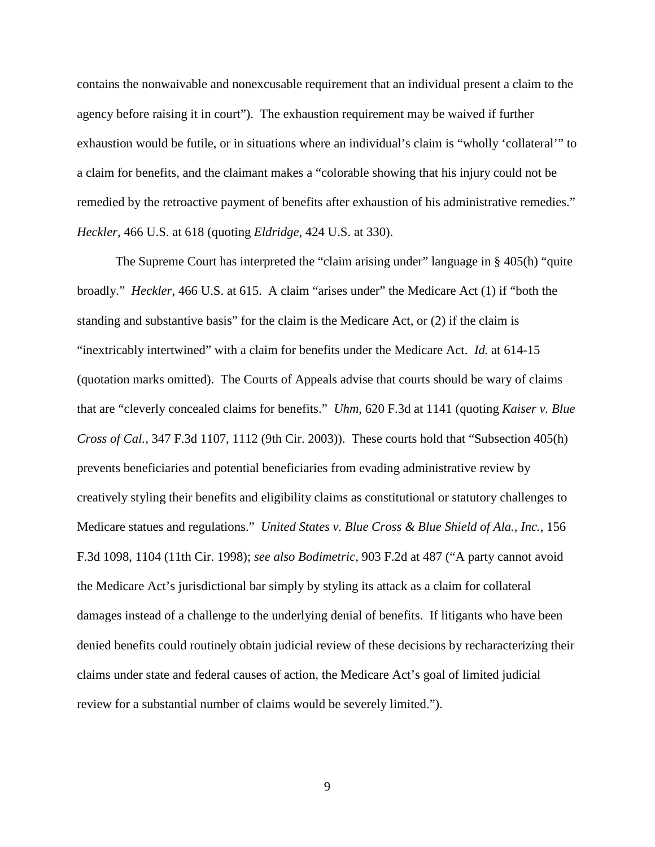contains the nonwaivable and nonexcusable requirement that an individual present a claim to the agency before raising it in court"). The exhaustion requirement may be waived if further exhaustion would be futile, or in situations where an individual's claim is "wholly 'collateral'" to a claim for benefits, and the claimant makes a "colorable showing that his injury could not be remedied by the retroactive payment of benefits after exhaustion of his administrative remedies." *Heckler*, 466 U.S. at 618 (quoting *Eldridge*, 424 U.S. at 330).

The Supreme Court has interpreted the "claim arising under" language in § 405(h) "quite broadly." *Heckler*, 466 U.S. at 615. A claim "arises under" the Medicare Act (1) if "both the standing and substantive basis" for the claim is the Medicare Act, or (2) if the claim is "inextricably intertwined" with a claim for benefits under the Medicare Act. *Id.* at 614-15 (quotation marks omitted). The Courts of Appeals advise that courts should be wary of claims that are "cleverly concealed claims for benefits." *Uhm*, 620 F.3d at 1141 (quoting *Kaiser v. Blue Cross of Cal.*, 347 F.3d 1107, 1112 (9th Cir. 2003)). These courts hold that "Subsection 405(h) prevents beneficiaries and potential beneficiaries from evading administrative review by creatively styling their benefits and eligibility claims as constitutional or statutory challenges to Medicare statues and regulations." *United States v. Blue Cross & Blue Shield of Ala., Inc.*, 156 F.3d 1098, 1104 (11th Cir. 1998); *see also Bodimetric*, 903 F.2d at 487 ("A party cannot avoid the Medicare Act's jurisdictional bar simply by styling its attack as a claim for collateral damages instead of a challenge to the underlying denial of benefits. If litigants who have been denied benefits could routinely obtain judicial review of these decisions by recharacterizing their claims under state and federal causes of action, the Medicare Act's goal of limited judicial review for a substantial number of claims would be severely limited.").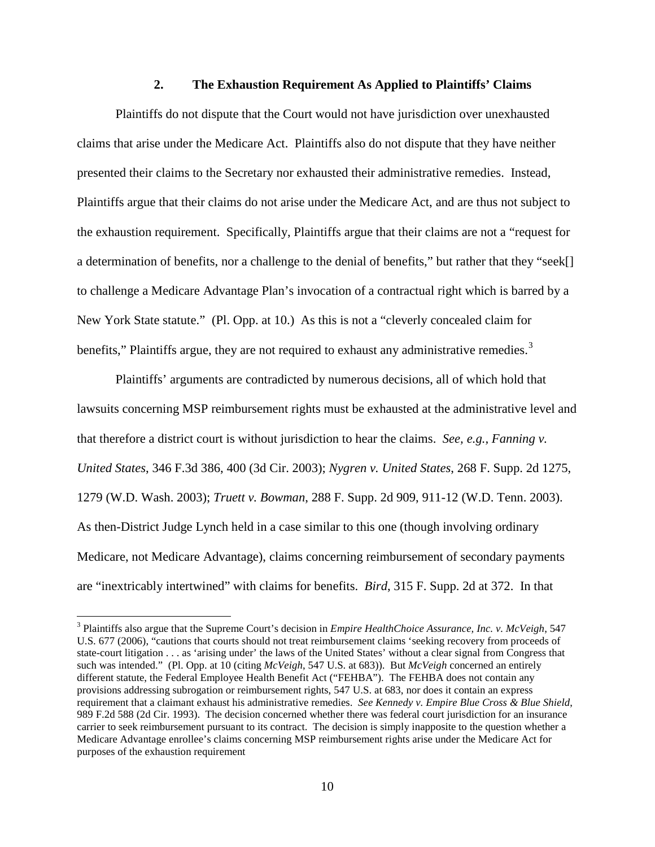## **2. The Exhaustion Requirement As Applied to Plaintiffs' Claims**

Plaintiffs do not dispute that the Court would not have jurisdiction over unexhausted claims that arise under the Medicare Act. Plaintiffs also do not dispute that they have neither presented their claims to the Secretary nor exhausted their administrative remedies. Instead, Plaintiffs argue that their claims do not arise under the Medicare Act, and are thus not subject to the exhaustion requirement. Specifically, Plaintiffs argue that their claims are not a "request for a determination of benefits, nor a challenge to the denial of benefits," but rather that they "seek[] to challenge a Medicare Advantage Plan's invocation of a contractual right which is barred by a New York State statute." (Pl. Opp. at 10.) As this is not a "cleverly concealed claim for benefits," Plaintiffs argue, they are not required to exhaust any administrative remedies. $3$ 

Plaintiffs' arguments are contradicted by numerous decisions, all of which hold that lawsuits concerning MSP reimbursement rights must be exhausted at the administrative level and that therefore a district court is without jurisdiction to hear the claims. *See, e.g., Fanning v. United States*, 346 F.3d 386, 400 (3d Cir. 2003); *Nygren v. United States*, 268 F. Supp. 2d 1275, 1279 (W.D. Wash. 2003); *Truett v. Bowman*, 288 F. Supp. 2d 909, 911-12 (W.D. Tenn. 2003). As then-District Judge Lynch held in a case similar to this one (though involving ordinary Medicare, not Medicare Advantage), claims concerning reimbursement of secondary payments are "inextricably intertwined" with claims for benefits. *Bird*, 315 F. Supp. 2d at 372. In that

-

<span id="page-9-0"></span><sup>3</sup> Plaintiffs also argue that the Supreme Court's decision in *Empire HealthChoice Assurance, Inc. v. McVeigh*, 547 U.S. 677 (2006), "cautions that courts should not treat reimbursement claims 'seeking recovery from proceeds of state-court litigation . . . as 'arising under' the laws of the United States' without a clear signal from Congress that such was intended." (Pl. Opp. at 10 (citing *McVeigh*, 547 U.S. at 683)). But *McVeigh* concerned an entirely different statute, the Federal Employee Health Benefit Act ("FEHBA"). The FEHBA does not contain any provisions addressing subrogation or reimbursement rights, 547 U.S. at 683, nor does it contain an express requirement that a claimant exhaust his administrative remedies. *See Kennedy v. Empire Blue Cross & Blue Shield*, 989 F.2d 588 (2d Cir. 1993). The decision concerned whether there was federal court jurisdiction for an insurance carrier to seek reimbursement pursuant to its contract. The decision is simply inapposite to the question whether a Medicare Advantage enrollee's claims concerning MSP reimbursement rights arise under the Medicare Act for purposes of the exhaustion requirement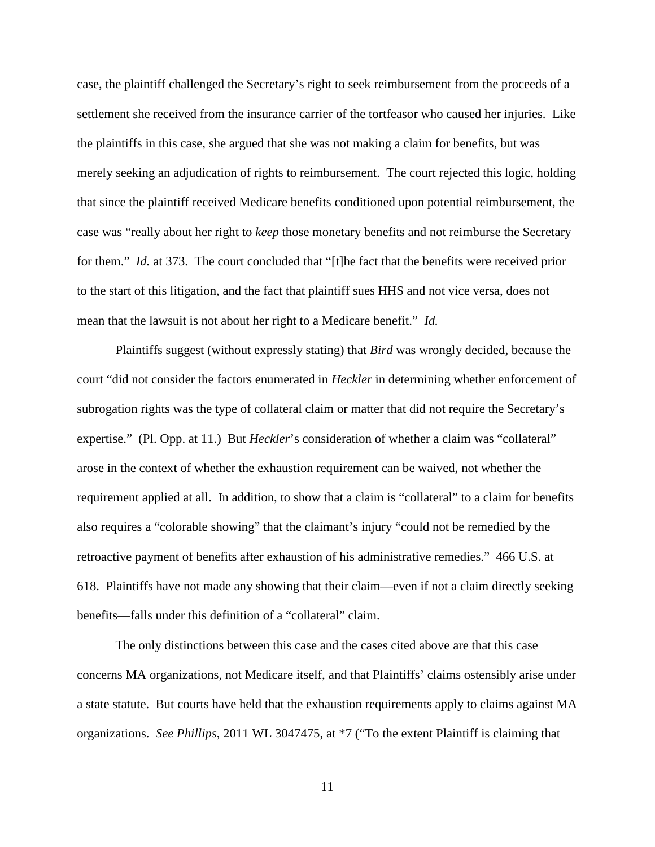case, the plaintiff challenged the Secretary's right to seek reimbursement from the proceeds of a settlement she received from the insurance carrier of the tortfeasor who caused her injuries. Like the plaintiffs in this case, she argued that she was not making a claim for benefits, but was merely seeking an adjudication of rights to reimbursement. The court rejected this logic, holding that since the plaintiff received Medicare benefits conditioned upon potential reimbursement, the case was "really about her right to *keep* those monetary benefits and not reimburse the Secretary for them." *Id.* at 373. The court concluded that "[t]he fact that the benefits were received prior to the start of this litigation, and the fact that plaintiff sues HHS and not vice versa, does not mean that the lawsuit is not about her right to a Medicare benefit." *Id.*

Plaintiffs suggest (without expressly stating) that *Bird* was wrongly decided, because the court "did not consider the factors enumerated in *Heckler* in determining whether enforcement of subrogation rights was the type of collateral claim or matter that did not require the Secretary's expertise." (Pl. Opp. at 11.) But *Heckler*'s consideration of whether a claim was "collateral" arose in the context of whether the exhaustion requirement can be waived, not whether the requirement applied at all. In addition, to show that a claim is "collateral" to a claim for benefits also requires a "colorable showing" that the claimant's injury "could not be remedied by the retroactive payment of benefits after exhaustion of his administrative remedies." 466 U.S. at 618. Plaintiffs have not made any showing that their claim—even if not a claim directly seeking benefits—falls under this definition of a "collateral" claim.

The only distinctions between this case and the cases cited above are that this case concerns MA organizations, not Medicare itself, and that Plaintiffs' claims ostensibly arise under a state statute. But courts have held that the exhaustion requirements apply to claims against MA organizations. *See Phillips*, 2011 WL 3047475, at \*7 ("To the extent Plaintiff is claiming that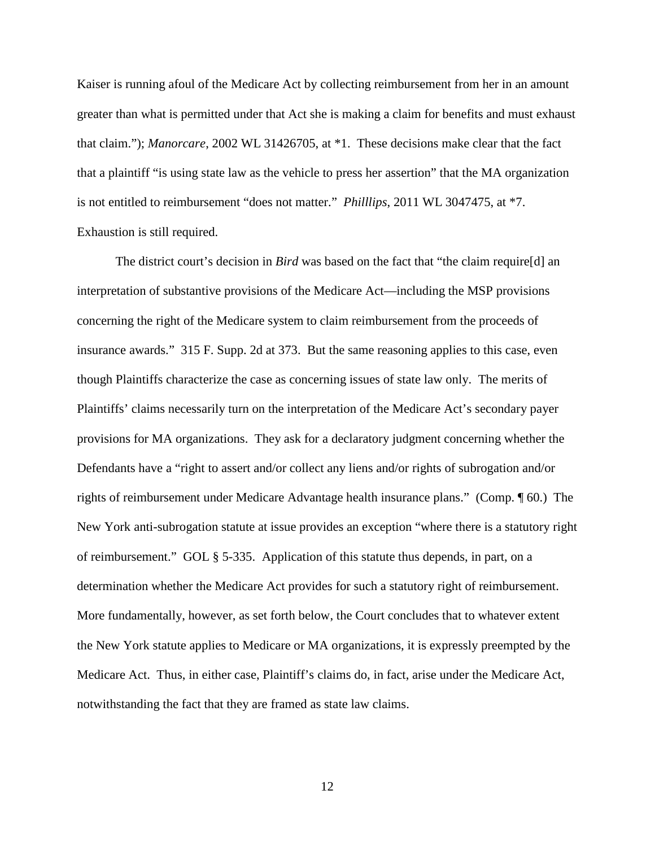Kaiser is running afoul of the Medicare Act by collecting reimbursement from her in an amount greater than what is permitted under that Act she is making a claim for benefits and must exhaust that claim."); *Manorcare*, 2002 WL 31426705, at \*1. These decisions make clear that the fact that a plaintiff "is using state law as the vehicle to press her assertion" that the MA organization is not entitled to reimbursement "does not matter." *Philllips*, 2011 WL 3047475, at \*7. Exhaustion is still required.

The district court's decision in *Bird* was based on the fact that "the claim require[d] an interpretation of substantive provisions of the Medicare Act—including the MSP provisions concerning the right of the Medicare system to claim reimbursement from the proceeds of insurance awards." 315 F. Supp. 2d at 373. But the same reasoning applies to this case, even though Plaintiffs characterize the case as concerning issues of state law only. The merits of Plaintiffs' claims necessarily turn on the interpretation of the Medicare Act's secondary payer provisions for MA organizations. They ask for a declaratory judgment concerning whether the Defendants have a "right to assert and/or collect any liens and/or rights of subrogation and/or rights of reimbursement under Medicare Advantage health insurance plans." (Comp. ¶ 60.) The New York anti-subrogation statute at issue provides an exception "where there is a statutory right of reimbursement." GOL § 5-335. Application of this statute thus depends, in part, on a determination whether the Medicare Act provides for such a statutory right of reimbursement. More fundamentally, however, as set forth below, the Court concludes that to whatever extent the New York statute applies to Medicare or MA organizations, it is expressly preempted by the Medicare Act. Thus, in either case, Plaintiff's claims do, in fact, arise under the Medicare Act, notwithstanding the fact that they are framed as state law claims.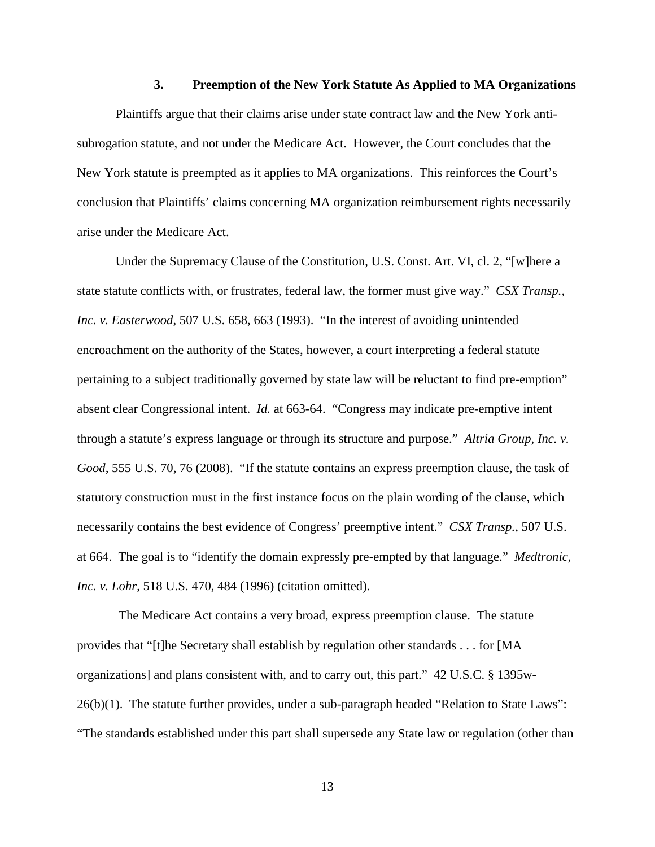## **3. Preemption of the New York Statute As Applied to MA Organizations**

Plaintiffs argue that their claims arise under state contract law and the New York antisubrogation statute, and not under the Medicare Act. However, the Court concludes that the New York statute is preempted as it applies to MA organizations. This reinforces the Court's conclusion that Plaintiffs' claims concerning MA organization reimbursement rights necessarily arise under the Medicare Act.

Under the Supremacy Clause of the Constitution, U.S. Const. Art. VI, cl. 2, "[w]here a state statute conflicts with, or frustrates, federal law, the former must give way." *CSX Transp., Inc. v. Easterwood*, 507 U.S. 658, 663 (1993). "In the interest of avoiding unintended encroachment on the authority of the States, however, a court interpreting a federal statute pertaining to a subject traditionally governed by state law will be reluctant to find pre-emption" absent clear Congressional intent. *Id.* at 663-64. "Congress may indicate pre-emptive intent through a statute's express language or through its structure and purpose." *Altria Group, Inc. v. Good*, 555 U.S. 70, 76 (2008). "If the statute contains an express preemption clause, the task of statutory construction must in the first instance focus on the plain wording of the clause, which necessarily contains the best evidence of Congress' preemptive intent." *CSX Transp.*, 507 U.S. at 664. The goal is to "identify the domain expressly pre-empted by that language." *Medtronic, Inc. v. Lohr*, 518 U.S. 470, 484 (1996) (citation omitted).

 The Medicare Act contains a very broad, express preemption clause. The statute provides that "[t]he Secretary shall establish by regulation other standards . . . for [MA organizations] and plans consistent with, and to carry out, this part." 42 U.S.C. § 1395w-26(b)(1). The statute further provides, under a sub-paragraph headed "Relation to State Laws": "The standards established under this part shall supersede any State law or regulation (other than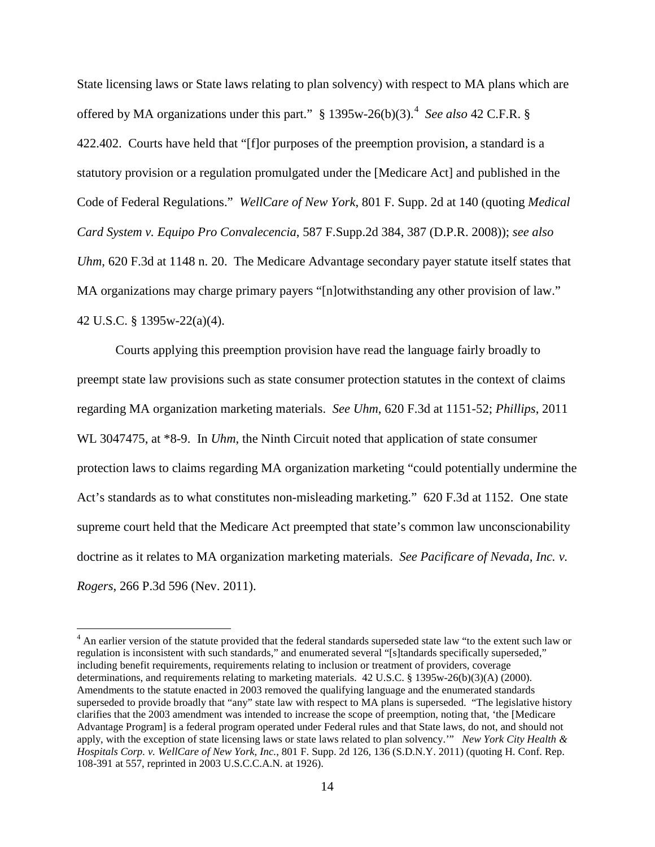State licensing laws or State laws relating to plan solvency) with respect to MA plans which are offered by MA organizations under this part." § 1395w-26(b)(3). [4](#page-13-0) *See also* 42 C.F.R. § 422.402. Courts have held that "[f]or purposes of the preemption provision, a standard is a statutory provision or a regulation promulgated under the [Medicare Act] and published in the Code of Federal Regulations." *WellCare of New York*, 801 F. Supp. 2d at 140 (quoting *Medical Card System v. Equipo Pro Convalecencia*, 587 F.Supp.2d 384, 387 (D.P.R. 2008)); *see also Uhm*, 620 F.3d at 1148 n. 20. The Medicare Advantage secondary payer statute itself states that MA organizations may charge primary payers "[n]otwithstanding any other provision of law." 42 U.S.C. § 1395w-22(a)(4).

Courts applying this preemption provision have read the language fairly broadly to preempt state law provisions such as state consumer protection statutes in the context of claims regarding MA organization marketing materials. *See Uhm*, 620 F.3d at 1151-52; *Phillips*, 2011 WL 3047475, at \*8-9. In *Uhm*, the Ninth Circuit noted that application of state consumer protection laws to claims regarding MA organization marketing "could potentially undermine the Act's standards as to what constitutes non-misleading marketing." 620 F.3d at 1152. One state supreme court held that the Medicare Act preempted that state's common law unconscionability doctrine as it relates to MA organization marketing materials. *See Pacificare of Nevada, Inc. v. Rogers*, 266 P.3d 596 (Nev. 2011).

<u>.</u>

<span id="page-13-0"></span><sup>&</sup>lt;sup>4</sup> An earlier version of the statute provided that the federal standards superseded state law "to the extent such law or regulation is inconsistent with such standards," and enumerated several "[s]tandards specifically superseded," including benefit requirements, requirements relating to inclusion or treatment of providers, coverage determinations, and requirements relating to marketing materials. 42 U.S.C. § 1395w-26(b)(3)(A) (2000). Amendments to the statute enacted in 2003 removed the qualifying language and the enumerated standards superseded to provide broadly that "any" state law with respect to MA plans is superseded. "The legislative history clarifies that the 2003 amendment was intended to increase the scope of preemption, noting that, 'the [Medicare Advantage Program] is a federal program operated under Federal rules and that State laws, do not, and should not apply, with the exception of state licensing laws or state laws related to plan solvency.'" *New York City Health & Hospitals Corp. v. WellCare of New York, Inc.*, 801 F. Supp. 2d 126, 136 (S.D.N.Y. 2011) (quoting H. Conf. Rep. 108-391 at 557, reprinted in 2003 U.S.C.C.A.N. at 1926).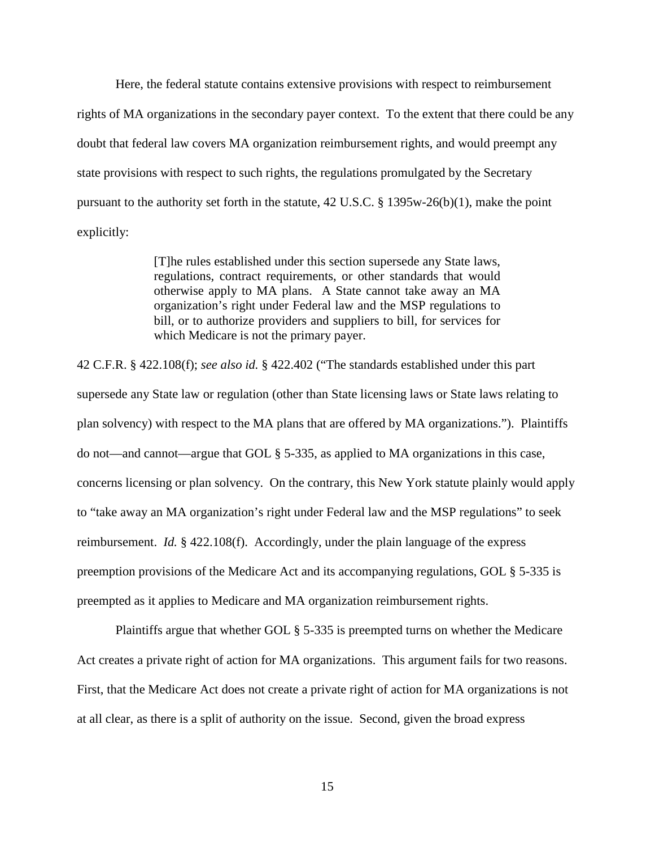Here, the federal statute contains extensive provisions with respect to reimbursement rights of MA organizations in the secondary payer context. To the extent that there could be any doubt that federal law covers MA organization reimbursement rights, and would preempt any state provisions with respect to such rights, the regulations promulgated by the Secretary pursuant to the authority set forth in the statute, 42 U.S.C. § 1395w-26(b)(1), make the point explicitly:

> [T]he rules established under this section supersede any State laws, regulations, contract requirements, or other standards that would otherwise apply to MA plans. A State cannot take away an MA organization's right under Federal law and the MSP regulations to bill, or to authorize providers and suppliers to bill, for services for which Medicare is not the primary payer.

42 C.F.R. § 422.108(f); *see also id.* § 422.402 ("The standards established under this part supersede any State law or regulation (other than State licensing laws or State laws relating to plan solvency) with respect to the MA plans that are offered by MA organizations."). Plaintiffs do not—and cannot—argue that GOL § 5-335, as applied to MA organizations in this case, concerns licensing or plan solvency. On the contrary, this New York statute plainly would apply to "take away an MA organization's right under Federal law and the MSP regulations" to seek reimbursement. *Id.* § 422.108(f). Accordingly, under the plain language of the express preemption provisions of the Medicare Act and its accompanying regulations, GOL § 5-335 is preempted as it applies to Medicare and MA organization reimbursement rights.

Plaintiffs argue that whether GOL § 5-335 is preempted turns on whether the Medicare Act creates a private right of action for MA organizations. This argument fails for two reasons. First, that the Medicare Act does not create a private right of action for MA organizations is not at all clear, as there is a split of authority on the issue. Second, given the broad express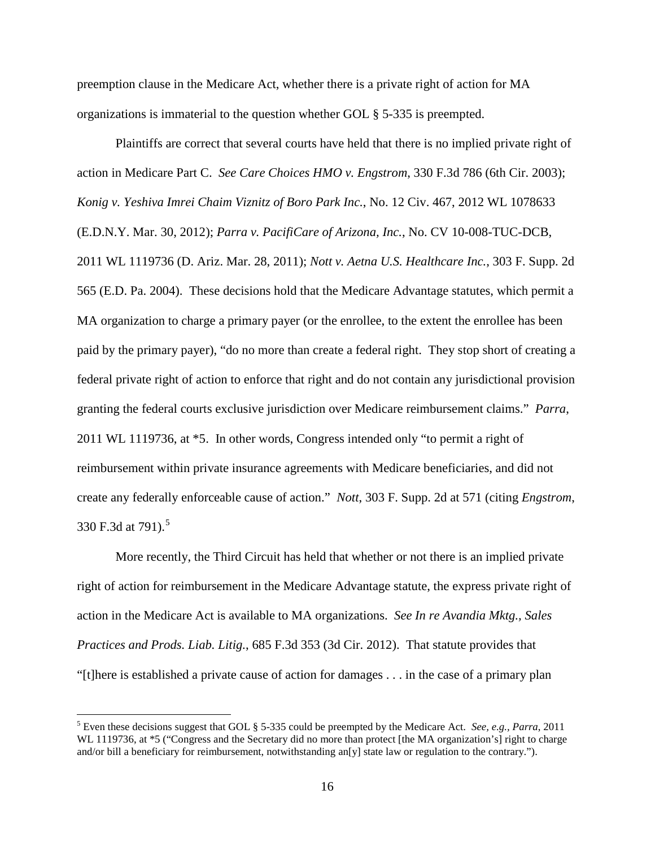preemption clause in the Medicare Act, whether there is a private right of action for MA organizations is immaterial to the question whether GOL § 5-335 is preempted.

Plaintiffs are correct that several courts have held that there is no implied private right of action in Medicare Part C. *See Care Choices HMO v. Engstrom*, 330 F.3d 786 (6th Cir. 2003); *Konig v. Yeshiva Imrei Chaim Viznitz of Boro Park Inc.*, No. 12 Civ. 467, 2012 WL 1078633 (E.D.N.Y. Mar. 30, 2012); *Parra v. PacifiCare of Arizona, Inc.*, No. CV 10-008-TUC-DCB, 2011 WL 1119736 (D. Ariz. Mar. 28, 2011); *Nott v. Aetna U.S. Healthcare Inc.*, 303 F. Supp. 2d 565 (E.D. Pa. 2004). These decisions hold that the Medicare Advantage statutes, which permit a MA organization to charge a primary payer (or the enrollee, to the extent the enrollee has been paid by the primary payer), "do no more than create a federal right. They stop short of creating a federal private right of action to enforce that right and do not contain any jurisdictional provision granting the federal courts exclusive jurisdiction over Medicare reimbursement claims." *Parra*, 2011 WL 1119736, at \*5. In other words, Congress intended only "to permit a right of reimbursement within private insurance agreements with Medicare beneficiaries, and did not create any federally enforceable cause of action." *Nott*, 303 F. Supp. 2d at 571 (citing *Engstrom*, 330 F.3d at 791).<sup>[5](#page-15-0)</sup>

More recently, the Third Circuit has held that whether or not there is an implied private right of action for reimbursement in the Medicare Advantage statute, the express private right of action in the Medicare Act is available to MA organizations. *See In re Avandia Mktg., Sales Practices and Prods. Liab. Litig.*, 685 F.3d 353 (3d Cir. 2012). That statute provides that "[t]here is established a private cause of action for damages . . . in the case of a primary plan

<u>.</u>

<span id="page-15-0"></span><sup>5</sup> Even these decisions suggest that GOL § 5-335 could be preempted by the Medicare Act. *See, e.g., Parra*, 2011 WL 1119736, at  $*5$  ("Congress and the Secretary did no more than protect [the MA organization's] right to charge and/or bill a beneficiary for reimbursement, notwithstanding an[y] state law or regulation to the contrary.").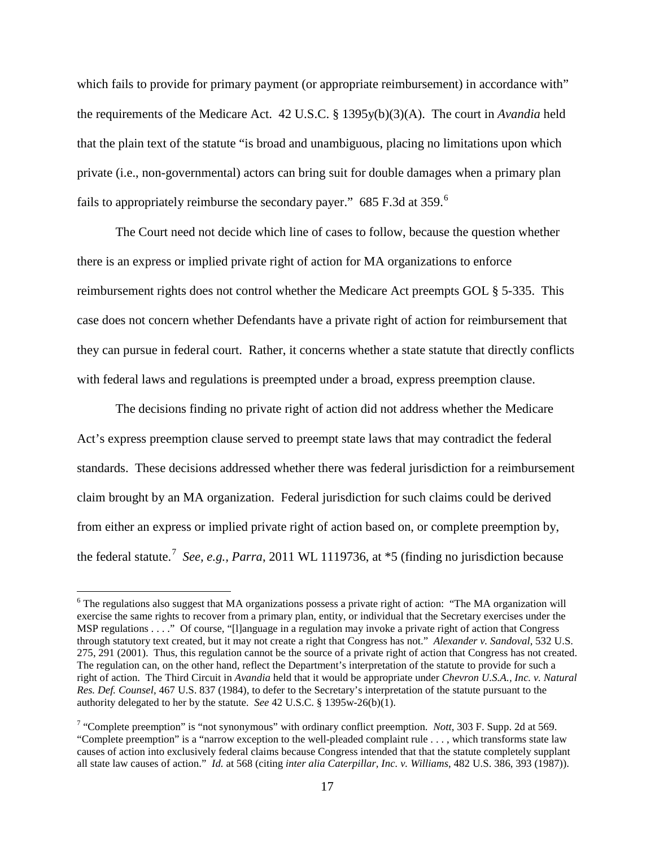which fails to provide for primary payment (or appropriate reimbursement) in accordance with" the requirements of the Medicare Act. 42 U.S.C. § 1395y(b)(3)(A). The court in *Avandia* held that the plain text of the statute "is broad and unambiguous, placing no limitations upon which private (i.e., non-governmental) actors can bring suit for double damages when a primary plan fails to appropriately reimburse the secondary payer." [6](#page-16-0)85 F.3d at 359. $^6$ 

The Court need not decide which line of cases to follow, because the question whether there is an express or implied private right of action for MA organizations to enforce reimbursement rights does not control whether the Medicare Act preempts GOL § 5-335. This case does not concern whether Defendants have a private right of action for reimbursement that they can pursue in federal court. Rather, it concerns whether a state statute that directly conflicts with federal laws and regulations is preempted under a broad, express preemption clause.

The decisions finding no private right of action did not address whether the Medicare Act's express preemption clause served to preempt state laws that may contradict the federal standards. These decisions addressed whether there was federal jurisdiction for a reimbursement claim brought by an MA organization. Federal jurisdiction for such claims could be derived from either an express or implied private right of action based on, or complete preemption by, the federal statute. [7](#page-16-1) *See, e.g., Parra*, 2011 WL 1119736, at \*5 (finding no jurisdiction because

<u>.</u>

<span id="page-16-0"></span><sup>&</sup>lt;sup>6</sup> The regulations also suggest that MA organizations possess a private right of action: "The MA organization will exercise the same rights to recover from a primary plan, entity, or individual that the Secretary exercises under the MSP regulations . . . ." Of course, "[l]anguage in a regulation may invoke a private right of action that Congress through statutory text created, but it may not create a right that Congress has not." *Alexander v. Sandoval*, 532 U.S. 275, 291 (2001). Thus, this regulation cannot be the source of a private right of action that Congress has not created. The regulation can, on the other hand, reflect the Department's interpretation of the statute to provide for such a right of action. The Third Circuit in *Avandia* held that it would be appropriate under *Chevron U.S.A., Inc. v. Natural Res. Def. Counsel*, 467 U.S. 837 (1984), to defer to the Secretary's interpretation of the statute pursuant to the authority delegated to her by the statute. *See* 42 U.S.C. § 1395w-26(b)(1).

<span id="page-16-1"></span><sup>&</sup>lt;sup>7</sup> "Complete preemption" is "not synonymous" with ordinary conflict preemption. *Nott*, 303 F. Supp. 2d at 569. "Complete preemption" is a "narrow exception to the well-pleaded complaint rule . . . , which transforms state law causes of action into exclusively federal claims because Congress intended that that the statute completely supplant all state law causes of action." *Id.* at 568 (citing *inter alia Caterpillar, Inc. v. Williams*, 482 U.S. 386, 393 (1987)).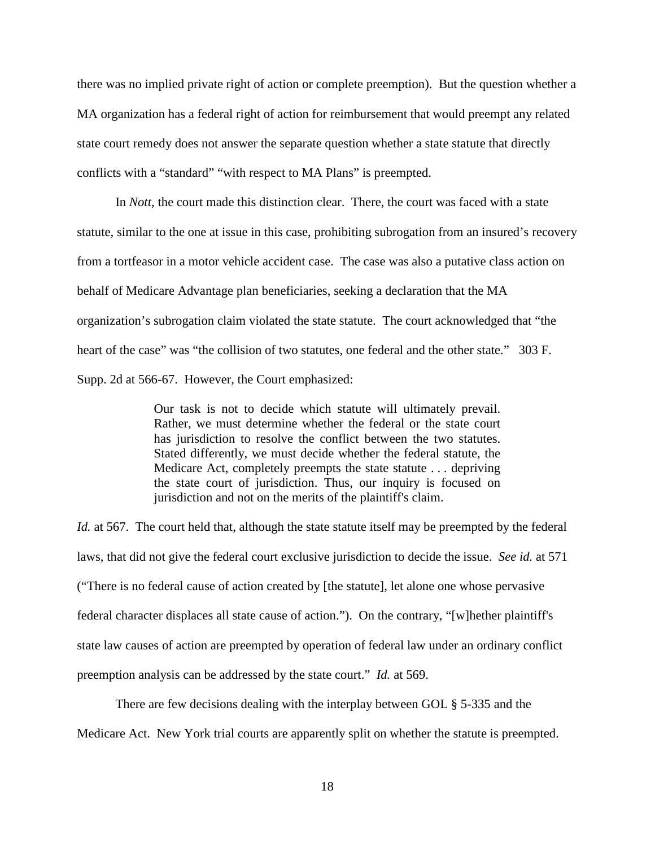there was no implied private right of action or complete preemption).But the question whether a MA organization has a federal right of action for reimbursement that would preempt any related state court remedy does not answer the separate question whether a state statute that directly conflicts with a "standard" "with respect to MA Plans" is preempted.

In *Nott*, the court made this distinction clear. There, the court was faced with a state statute, similar to the one at issue in this case, prohibiting subrogation from an insured's recovery from a tortfeasor in a motor vehicle accident case. The case was also a putative class action on behalf of Medicare Advantage plan beneficiaries, seeking a declaration that the MA organization's subrogation claim violated the state statute. The court acknowledged that "the heart of the case" was "the collision of two statutes, one federal and the other state." 303 F. Supp. 2d at 566-67. However, the Court emphasized:

> Our task is not to decide which statute will ultimately prevail. Rather, we must determine whether the federal or the state court has jurisdiction to resolve the conflict between the two statutes. Stated differently, we must decide whether the federal statute, the Medicare Act, completely preempts the state statute ... depriving the state court of jurisdiction. Thus, our inquiry is focused on jurisdiction and not on the merits of the plaintiff's claim.

*Id.* at 567. The court held that, although the state statute itself may be preempted by the federal laws, that did not give the federal court exclusive jurisdiction to decide the issue. *See id.* at 571 ("There is no federal cause of action created by [the statute], let alone one whose pervasive federal character displaces all state cause of action."). On the contrary, "[w]hether plaintiff's state law causes of action are preempted by operation of federal law under an ordinary conflict preemption analysis can be addressed by the state court." *Id.* at 569.

There are few decisions dealing with the interplay between GOL § 5-335 and the Medicare Act. New York trial courts are apparently split on whether the statute is preempted.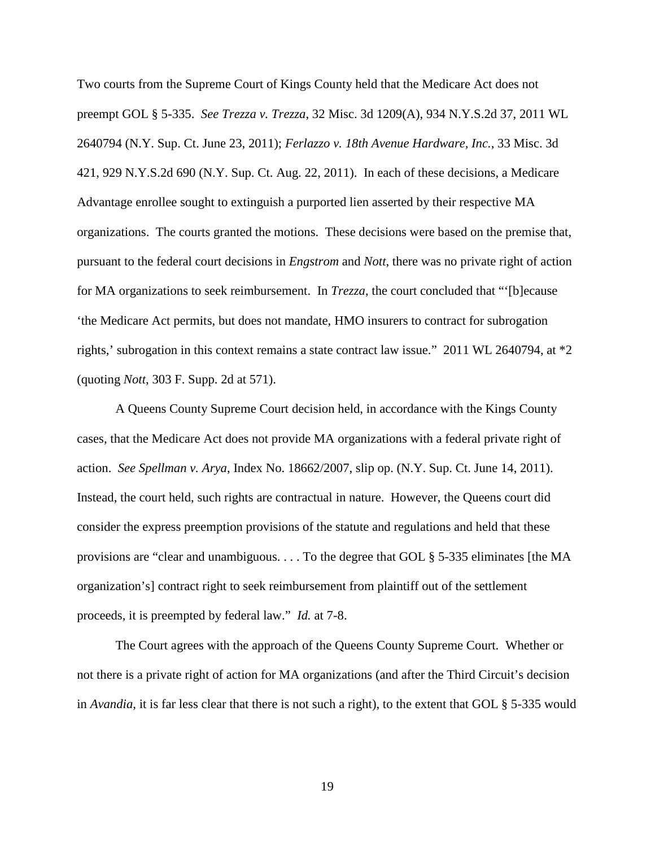Two courts from the Supreme Court of Kings County held that the Medicare Act does not preempt GOL § 5-335. *See Trezza v. Trezza*, 32 Misc. 3d 1209(A), 934 N.Y.S.2d 37, 2011 WL 2640794 (N.Y. Sup. Ct. June 23, 2011); *Ferlazzo v. 18th Avenue Hardware, Inc.*, 33 Misc. 3d 421, 929 N.Y.S.2d 690 (N.Y. Sup. Ct. Aug. 22, 2011). In each of these decisions, a Medicare Advantage enrollee sought to extinguish a purported lien asserted by their respective MA organizations. The courts granted the motions. These decisions were based on the premise that, pursuant to the federal court decisions in *Engstrom* and *Nott*, there was no private right of action for MA organizations to seek reimbursement. In *Trezza*, the court concluded that "'[b]ecause 'the Medicare Act permits, but does not mandate, HMO insurers to contract for subrogation rights,' subrogation in this context remains a state contract law issue." 2011 WL 2640794, at \*2 (quoting *Nott*, 303 F. Supp. 2d at 571).

A Queens County Supreme Court decision held, in accordance with the Kings County cases, that the Medicare Act does not provide MA organizations with a federal private right of action. *See Spellman v. Arya*, Index No. 18662/2007, slip op. (N.Y. Sup. Ct. June 14, 2011). Instead, the court held, such rights are contractual in nature. However, the Queens court did consider the express preemption provisions of the statute and regulations and held that these provisions are "clear and unambiguous. . . . To the degree that GOL § 5-335 eliminates [the MA organization's] contract right to seek reimbursement from plaintiff out of the settlement proceeds, it is preempted by federal law." *Id.* at 7-8.

The Court agrees with the approach of the Queens County Supreme Court. Whether or not there is a private right of action for MA organizations (and after the Third Circuit's decision in *Avandia*, it is far less clear that there is not such a right), to the extent that GOL § 5-335 would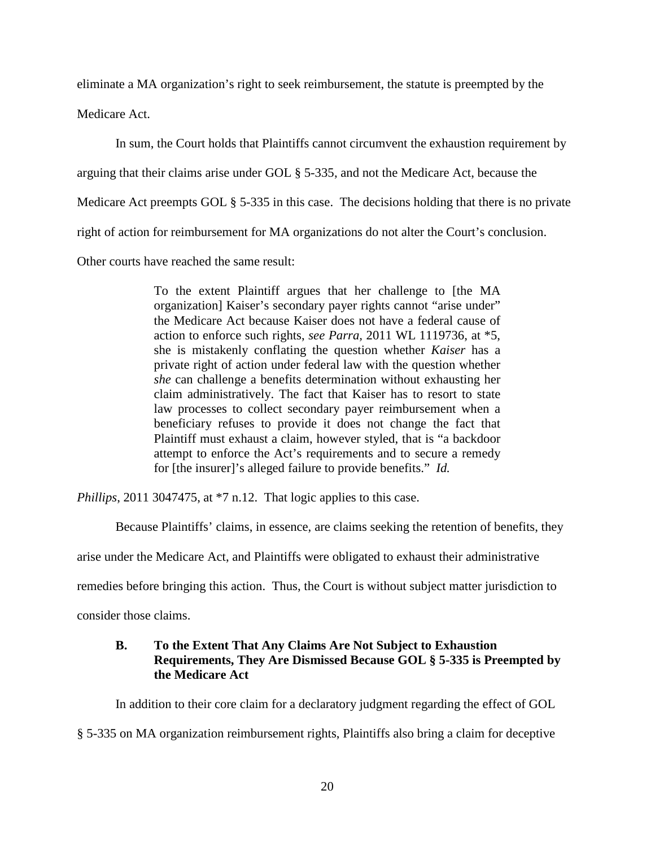eliminate a MA organization's right to seek reimbursement, the statute is preempted by the

Medicare Act.

In sum, the Court holds that Plaintiffs cannot circumvent the exhaustion requirement by

arguing that their claims arise under GOL § 5-335, and not the Medicare Act, because the

Medicare Act preempts GOL § 5-335 in this case. The decisions holding that there is no private

right of action for reimbursement for MA organizations do not alter the Court's conclusion.

Other courts have reached the same result:

To the extent Plaintiff argues that her challenge to [the MA organization] Kaiser's secondary payer rights cannot "arise under" the Medicare Act because Kaiser does not have a federal cause of action to enforce such rights, *see Parra,* 2011 WL 1119736, at \*5, she is mistakenly conflating the question whether *Kaiser* has a private right of action under federal law with the question whether *she* can challenge a benefits determination without exhausting her claim administratively. The fact that Kaiser has to resort to state law processes to collect secondary payer reimbursement when a beneficiary refuses to provide it does not change the fact that Plaintiff must exhaust a claim, however styled, that is "a backdoor attempt to enforce the Act's requirements and to secure a remedy for [the insurer]'s alleged failure to provide benefits." *Id.*

*Phillips*, 2011 3047475, at  $*7$  n.12. That logic applies to this case.

Because Plaintiffs' claims, in essence, are claims seeking the retention of benefits, they

arise under the Medicare Act, and Plaintiffs were obligated to exhaust their administrative

remedies before bringing this action. Thus, the Court is without subject matter jurisdiction to

consider those claims.

# **B. To the Extent That Any Claims Are Not Subject to Exhaustion Requirements, They Are Dismissed Because GOL § 5-335 is Preempted by the Medicare Act**

In addition to their core claim for a declaratory judgment regarding the effect of GOL

§ 5-335 on MA organization reimbursement rights, Plaintiffs also bring a claim for deceptive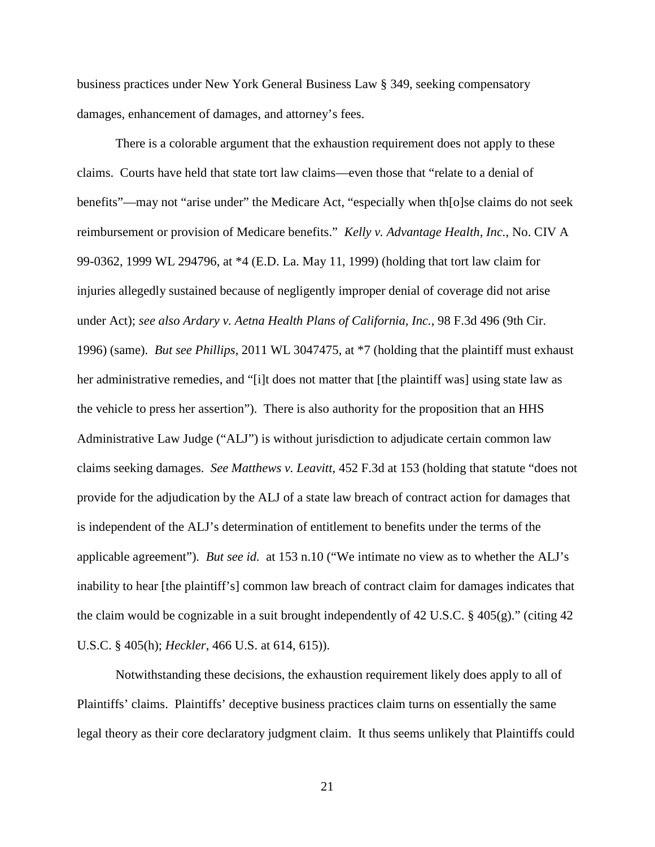business practices under New York General Business Law § 349, seeking compensatory damages, enhancement of damages, and attorney's fees.

There is a colorable argument that the exhaustion requirement does not apply to these claims. Courts have held that state tort law claims—even those that "relate to a denial of benefits"—may not "arise under" the Medicare Act, "especially when th[o]se claims do not seek reimbursement or provision of Medicare benefits." *Kelly v. Advantage Health, Inc.*, No. CIV A 99-0362, 1999 WL 294796, at \*4 (E.D. La. May 11, 1999) (holding that tort law claim for injuries allegedly sustained because of negligently improper denial of coverage did not arise under Act); *see also Ardary v. Aetna Health Plans of California, Inc.*, 98 F.3d 496 (9th Cir. 1996) (same). *But see Phillips*, 2011 WL 3047475, at \*7 (holding that the plaintiff must exhaust her administrative remedies, and "[i]t does not matter that [the plaintiff was] using state law as the vehicle to press her assertion"). There is also authority for the proposition that an HHS Administrative Law Judge ("ALJ") is without jurisdiction to adjudicate certain common law claims seeking damages. *See Matthews v. Leavitt*, 452 F.3d at 153 (holding that statute "does not provide for the adjudication by the ALJ of a state law breach of contract action for damages that is independent of the ALJ's determination of entitlement to benefits under the terms of the applicable agreement"). *But see id.* at 153 n.10 ("We intimate no view as to whether the ALJ's inability to hear [the plaintiff's] common law breach of contract claim for damages indicates that the claim would be cognizable in a suit brought independently of 42 U.S.C. § 405(g)." (citing 42 U.S.C. § 405(h); *Heckler*, 466 U.S. at 614, 615)).

Notwithstanding these decisions, the exhaustion requirement likely does apply to all of Plaintiffs' claims. Plaintiffs' deceptive business practices claim turns on essentially the same legal theory as their core declaratory judgment claim. It thus seems unlikely that Plaintiffs could